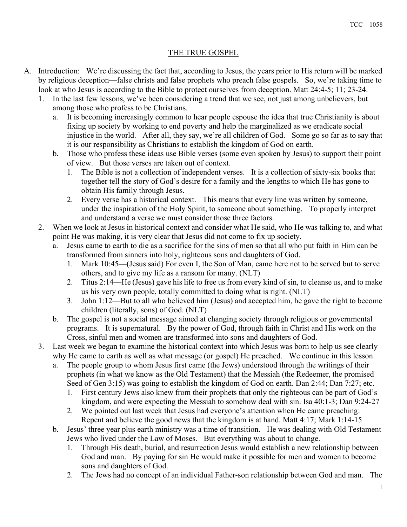## THE TRUE GOSPEL

- A. Introduction: We're discussing the fact that, according to Jesus, the years prior to His return will be marked by religious deception—false christs and false prophets who preach false gospels. So, we're taking time to look at who Jesus is according to the Bible to protect ourselves from deception. Matt 24:4-5; 11; 23-24.
	- 1. In the last few lessons, we've been considering a trend that we see, not just among unbelievers, but among those who profess to be Christians.
		- a. It is becoming increasingly common to hear people espouse the idea that true Christianity is about fixing up society by working to end poverty and help the marginalized as we eradicate social injustice in the world. After all, they say, we're all children of God. Some go so far as to say that it is our responsibility as Christians to establish the kingdom of God on earth.
		- b. Those who profess these ideas use Bible verses (some even spoken by Jesus) to support their point of view. But those verses are taken out of context.
			- 1. The Bible is not a collection of independent verses. It is a collection of sixty-six books that together tell the story of God's desire for a family and the lengths to which He has gone to obtain His family through Jesus.
			- 2. Every verse has a historical context. This means that every line was written by someone, under the inspiration of the Holy Spirit, to someone about something. To properly interpret and understand a verse we must consider those three factors.
	- 2. When we look at Jesus in historical context and consider what He said, who He was talking to, and what point He was making, it is very clear that Jesus did not come to fix up society.
		- a. Jesus came to earth to die as a sacrifice for the sins of men so that all who put faith in Him can be transformed from sinners into holy, righteous sons and daughters of God.
			- 1. Mark 10:45—(Jesus said) For even I, the Son of Man, came here not to be served but to serve others, and to give my life as a ransom for many. (NLT)
			- 2. Titus 2:14—He (Jesus) gave his life to free us from every kind of sin, to cleanse us, and to make us his very own people, totally committed to doing what is right. (NLT)
			- 3. John 1:12—But to all who believed him (Jesus) and accepted him, he gave the right to become children (literally, sons) of God. (NLT)
		- b. The gospel is not a social message aimed at changing society through religious or governmental programs. It is supernatural. By the power of God, through faith in Christ and His work on the Cross, sinful men and women are transformed into sons and daughters of God.
	- 3. Last week we began to examine the historical context into which Jesus was born to help us see clearly why He came to earth as well as what message (or gospel) He preached. We continue in this lesson.
		- a. The people group to whom Jesus first came (the Jews) understood through the writings of their prophets (in what we know as the Old Testament) that the Messiah (the Redeemer, the promised Seed of Gen 3:15) was going to establish the kingdom of God on earth. Dan 2:44; Dan 7:27; etc.
			- 1. First century Jews also knew from their prophets that only the righteous can be part of God's kingdom, and were expecting the Messiah to somehow deal with sin. Isa 40:1-3; Dan 9:24-27
			- 2. We pointed out last week that Jesus had everyone's attention when He came preaching: Repent and believe the good news that the kingdom is at hand. Matt 4:17; Mark 1:14-15
		- b. Jesus' three year plus earth ministry was a time of transition. He was dealing with Old Testament Jews who lived under the Law of Moses. But everything was about to change.
			- 1. Through His death, burial, and resurrection Jesus would establish a new relationship between God and man. By paying for sin He would make it possible for men and women to become sons and daughters of God.
			- 2. The Jews had no concept of an individual Father-son relationship between God and man. The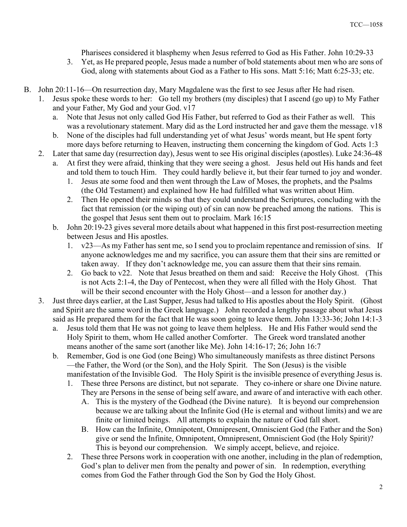Pharisees considered it blasphemy when Jesus referred to God as His Father. John 10:29-33

- 3. Yet, as He prepared people, Jesus made a number of bold statements about men who are sons of God, along with statements about God as a Father to His sons. Matt 5:16; Matt 6:25-33; etc.
- B. John 20:11-16—On resurrection day, Mary Magdalene was the first to see Jesus after He had risen.
	- 1. Jesus spoke these words to her: Go tell my brothers (my disciples) that I ascend (go up) to My Father and your Father, My God and your God. v17
		- a. Note that Jesus not only called God His Father, but referred to God as their Father as well. This was a revolutionary statement. Mary did as the Lord instructed her and gave them the message. v18
		- b. None of the disciples had full understanding yet of what Jesus' words meant, but He spent forty more days before returning to Heaven, instructing them concerning the kingdom of God. Acts 1:3
	- 2. Later that same day (resurrection day), Jesus went to see His original disciples (apostles). Luke 24:36-48
		- a. At first they were afraid, thinking that they were seeing a ghost. Jesus held out His hands and feet and told them to touch Him. They could hardly believe it, but their fear turned to joy and wonder.
			- 1. Jesus ate some food and then went through the Law of Moses, the prophets, and the Psalms (the Old Testament) and explained how He had fulfilled what was written about Him.
			- 2. Then He opened their minds so that they could understand the Scriptures, concluding with the fact that remission (or the wiping out) of sin can now be preached among the nations. This is the gospel that Jesus sent them out to proclaim. Mark 16:15
			- b. John 20:19-23 gives several more details about what happened in this first post-resurrection meeting between Jesus and His apostles.
				- 1. v23—As my Father has sent me, so I send you to proclaim repentance and remission of sins. If anyone acknowledges me and my sacrifice, you can assure them that their sins are remitted or taken away. If they don't acknowledge me, you can assure them that their sins remain.
				- 2. Go back to v22. Note that Jesus breathed on them and said: Receive the Holy Ghost. (This is not Acts 2:1-4, the Day of Pentecost, when they were all filled with the Holy Ghost. That will be their second encounter with the Holy Ghost—and a lesson for another day.)
	- 3. Just three days earlier, at the Last Supper, Jesus had talked to His apostles about the Holy Spirit. (Ghost and Spirit are the same word in the Greek language.) John recorded a lengthy passage about what Jesus said as He prepared them for the fact that He was soon going to leave them. John 13:33-36; John 14:1-3
		- a. Jesus told them that He was not going to leave them helpless. He and His Father would send the Holy Spirit to them, whom He called another Comforter. The Greek word translated another means another of the same sort (another like Me). John 14:16-17; 26; John 16:7
		- b. Remember, God is one God (one Being) Who simultaneously manifests as three distinct Persons —the Father, the Word (or the Son), and the Holy Spirit. The Son (Jesus) is the visible manifestation of the Invisible God. The Holy Spirit is the invisible presence of everything Jesus is.
			- 1. These three Persons are distinct, but not separate. They co-inhere or share one Divine nature. They are Persons in the sense of being self aware, and aware of and interactive with each other.
				- A. This is the mystery of the Godhead (the Divine nature). It is beyond our comprehension because we are talking about the Infinite God (He is eternal and without limits) and we are finite or limited beings. All attempts to explain the nature of God fall short.
				- B. How can the Infinite, Omnipotent, Omnipresent, Omniscient God (the Father and the Son) give or send the Infinite, Omnipotent, Omnipresent, Omniscient God (the Holy Spirit)? This is beyond our comprehension. We simply accept, believe, and rejoice.
			- 2. These three Persons work in cooperation with one another, including in the plan of redemption, God's plan to deliver men from the penalty and power of sin. In redemption, everything comes from God the Father through God the Son by God the Holy Ghost.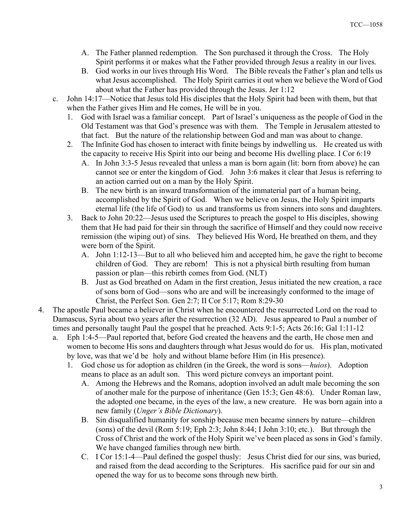- A. The Father planned redemption. The Son purchased it through the Cross. The Holy Spirit performs it or makes what the Father provided through Jesus a reality in our lives.
- B. God works in our lives through His Word. The Bible reveals the Father's plan and tells us what Jesus accomplished. The Holy Spirit carries it out when we believe the Word of God about what the Father has provided through the Jesus. Jer 1:12
- c. John 14:17—Notice that Jesus told His disciples that the Holy Spirit had been with them, but that when the Father gives Him and He comes, He will be in you.
	- 1. God with Israel was a familiar concept. Part of Israel's uniqueness as the people of God in the Old Testament was that God's presence was with them. The Temple in Jerusalem attested to that fact. But the nature of the relationship between God and man was about to change.
	- 2. The Infinite God has chosen to interact with finite beings by indwelling us. He created us with the capacity to receive His Spirit into our being and become His dwelling place. I Cor 6:19
		- A. In John 3:3-5 Jesus revealed that unless a man is born again (lit: born from above) he can cannot see or enter the kingdom of God. John 3:6 makes it clear that Jesus is referring to an action carried out on a man by the Holy Spirit.
		- B. The new birth is an inward transformation of the immaterial part of a human being, accomplished by the Spirit of God. When we believe on Jesus, the Holy Spirit imparts eternal life (the life of God) to us and transforms us from sinners into sons and daughters.
	- 3. Back to John 20:22—Jesus used the Scriptures to preach the gospel to His disciples, showing them that He had paid for their sin through the sacrifice of Himself and they could now receive remission (the wiping out) of sins. They believed His Word, He breathed on them, and they were born of the Spirit.
		- A. John 1:12-13—But to all who believed him and accepted him, he gave the right to become children of God. They are reborn! This is not a physical birth resulting from human passion or plan—this rebirth comes from God. (NLT)
		- B. Just as God breathed on Adam in the first creation, Jesus initiated the new creation, a race of sons born of God—sons who are and will be increasingly conformed to the image of Christ, the Perfect Son. Gen 2:7; II Cor 5:17; Rom 8:29-30
- 4. The apostle Paul became a believer in Christ when he encountered the resurrected Lord on the road to Damascus, Syria about two years after the resurrection (32 AD). Jesus appeared to Paul a number of times and personally taught Paul the gospel that he preached. Acts 9:1-5; Acts 26:16; Gal 1:11-12
	- a. Eph 1:4-5—Paul reported that, before God created the heavens and the earth, He chose men and women to become His sons and daughters through what Jesus would do for us. His plan, motivated by love, was that we'd be holy and without blame before Him (in His presence).
		- 1. God chose us for adoption as children (in the Greek, the word is sons—huios). Adoption means to place as an adult son. This word picture conveys an important point.
			- A. Among the Hebrews and the Romans, adoption involved an adult male becoming the son of another male for the purpose of inheritance (Gen 15:3; Gen 48:6). Under Roman law, the adopted one became, in the eyes of the law, a new creature. He was born again into a new family (*Unger's Bible Dictionary*).
			- B. Sin disqualified humanity for sonship because men became sinners by nature—children (sons) of the devil (Rom 5:19; Eph 2:3; John 8:44; I John 3:10; etc.). But through the Cross of Christ and the work of the Holy Spirit we've been placed as sons in God's family. We have changed families through new birth.
			- C. I Cor 15:1-4—Paul defined the gospel thusly: Jesus Christ died for our sins, was buried, and raised from the dead according to the Scriptures. His sacrifice paid for our sin and opened the way for us to become sons through new birth.